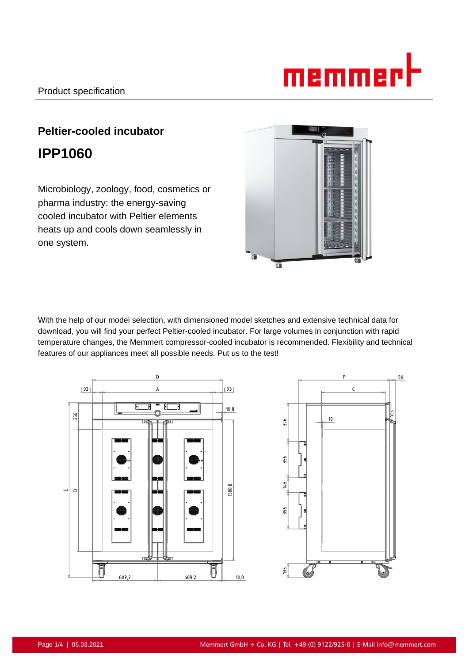# memmerl

# **Peltier-cooled incubator IPP1060**

Microbiology, zoology, food, cosmetics or pharma industry: the energy-saving cooled incubator with Peltier elements heats up and cools down seamlessly in one system.



With the help of our model selection, with dimensioned model sketches and extensive technical data for download, you will find your perfect Peltier-cooled incubator. For large volumes in conjunction with rapid temperature changes, the Memmert compressor-cooled incubator is recommended. Flexibility and technical features of our appliances meet all possible needs. Put us to the test!



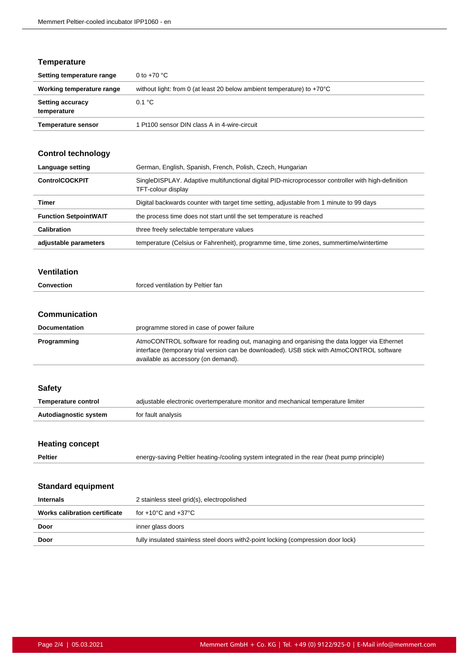#### **Temperature**

| Setting temperature range              | 0 to $+70$ °C                                                                    |
|----------------------------------------|----------------------------------------------------------------------------------|
| Working temperature range              | without light: from 0 (at least 20 below ambient temperature) to $+70^{\circ}$ C |
| <b>Setting accuracy</b><br>temperature | 0.1 °C                                                                           |
| <b>Temperature sensor</b>              | 1 Pt100 sensor DIN class A in 4-wire-circuit                                     |

## **Control technology**

| Language setting             | German, English, Spanish, French, Polish, Czech, Hungarian                                                               |
|------------------------------|--------------------------------------------------------------------------------------------------------------------------|
| <b>ControlCOCKPIT</b>        | SingleDISPLAY. Adaptive multifunctional digital PID-microprocessor controller with high-definition<br>TFT-colour display |
| Timer                        | Digital backwards counter with target time setting, adjustable from 1 minute to 99 days                                  |
| <b>Function SetpointWAIT</b> | the process time does not start until the set temperature is reached                                                     |
| <b>Calibration</b>           | three freely selectable temperature values                                                                               |
| adjustable parameters        | temperature (Celsius or Fahrenheit), programme time, time zones, summertime/wintertime                                   |

#### **Ventilation**

| Convection<br>. | forced ventilation by Peltier fan<br>. |
|-----------------|----------------------------------------|
|                 |                                        |

#### **Communication**

| <b>Documentation</b> | programme stored in case of power failure                                                                                                                                                                                       |
|----------------------|---------------------------------------------------------------------------------------------------------------------------------------------------------------------------------------------------------------------------------|
| Programming          | AtmoCONTROL software for reading out, managing and organising the data logger via Ethernet<br>interface (temporary trial version can be downloaded). USB stick with AtmoCONTROL software<br>available as accessory (on demand). |

#### **Safety**

| Temperature control   | adjustable electronic overtemperature monitor and mechanical temperature limiter |
|-----------------------|----------------------------------------------------------------------------------|
| Autodiagnostic system | for fault analysis                                                               |

#### **Heating concept**

|--|

**Peltier** energy-saving Peltier heating-/cooling system integrated in the rear (heat pump principle)

#### **Standard equipment**

| <b>Internals</b>              | 2 stainless steel grid(s), electropolished                                         |
|-------------------------------|------------------------------------------------------------------------------------|
| Works calibration certificate | for +10°C and +37°C                                                                |
| Door                          | inner glass doors                                                                  |
| Door                          | fully insulated stainless steel doors with 2-point locking (compression door lock) |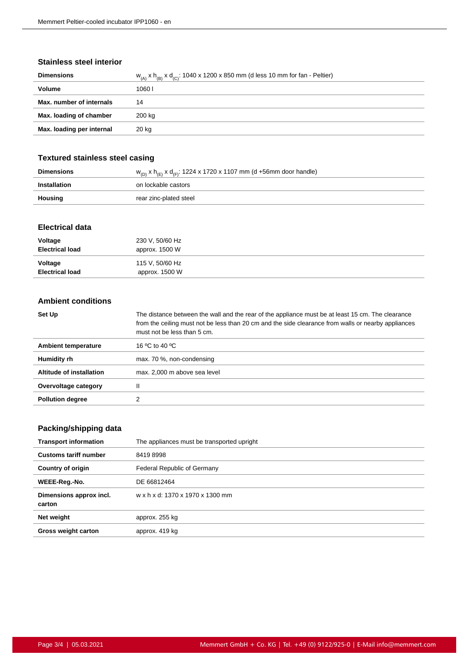#### **Stainless steel interior**

| <b>Dimensions</b>         | $W_{(A)}$ x $h_{(B)}$ x d <sub>(C)</sub> : 1040 x 1200 x 850 mm (d less 10 mm for fan - Peltier) |
|---------------------------|--------------------------------------------------------------------------------------------------|
| Volume                    | 10601                                                                                            |
| Max. number of internals  | 14                                                                                               |
| Max. loading of chamber   | 200 kg                                                                                           |
| Max. loading per internal | 20 kg                                                                                            |
|                           |                                                                                                  |

#### **Textured stainless steel casing**

| <b>Dimensions</b> | $w_{(D)}$ x h <sub>(E)</sub> x d <sub>(F)</sub> : 1224 x 1720 x 1107 mm (d +56mm door handle) |
|-------------------|-----------------------------------------------------------------------------------------------|
| Installation      | on lockable castors                                                                           |
| Housing           | rear zinc-plated steel                                                                        |

#### **Electrical data**

| Voltage                | 230 V, 50/60 Hz |
|------------------------|-----------------|
| <b>Electrical load</b> | approx. 1500 W  |
| Voltage                | 115 V, 50/60 Hz |
| <b>Electrical load</b> | approx. 1500 W  |

#### **Ambient conditions**

| Set Up                     | The distance between the wall and the rear of the appliance must be at least 15 cm. The clearance<br>from the ceiling must not be less than 20 cm and the side clearance from walls or nearby appliances<br>must not be less than 5 cm. |
|----------------------------|-----------------------------------------------------------------------------------------------------------------------------------------------------------------------------------------------------------------------------------------|
| <b>Ambient temperature</b> | 16 °C to 40 °C                                                                                                                                                                                                                          |
| Humidity rh                | max. 70 %, non-condensing                                                                                                                                                                                                               |
| Altitude of installation   | max. 2,000 m above sea level                                                                                                                                                                                                            |
| Overvoltage category       |                                                                                                                                                                                                                                         |
| <b>Pollution degree</b>    |                                                                                                                                                                                                                                         |

## **Packing/shipping data**

| <b>Transport information</b>      | The appliances must be transported upright |
|-----------------------------------|--------------------------------------------|
| <b>Customs tariff number</b>      | 84198998                                   |
| <b>Country of origin</b>          | Federal Republic of Germany                |
| WEEE-Reg.-No.                     | DE 66812464                                |
| Dimensions approx incl.<br>carton | w x h x d: 1370 x 1970 x 1300 mm           |
| Net weight                        | approx. 255 kg                             |
| <b>Gross weight carton</b>        | approx. 419 kg                             |